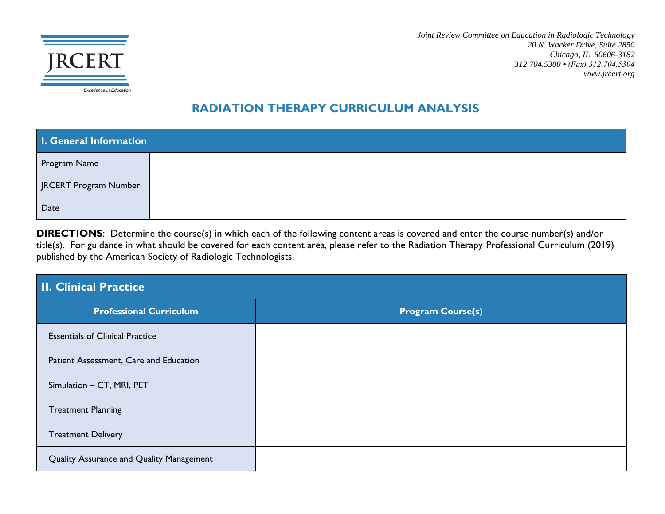

*Joint Review Committee on Education in Radiologic Technology 20 N. Wacker Drive, Suite 2850 Chicago, IL 60606-3182 312.704.5300 • (Fax) 312.704.5304 www.jrcert.org*

#### **RADIATION THERAPY CURRICULUM ANALYSIS**

| <b>I. General Information</b> |  |  |
|-------------------------------|--|--|
| Program Name                  |  |  |
| JRCERT Program Number         |  |  |
| Date                          |  |  |

**DIRECTIONS**: Determine the course(s) in which each of the following content areas is covered and enter the course number(s) and/or title(s). For guidance in what should be covered for each content area, please refer to the Radiation Therapy Professional Curriculum (2019) published by the American Society of Radiologic Technologists.

| <b>II. Clinical Practice</b>             |                          |  |
|------------------------------------------|--------------------------|--|
| <b>Professional Curriculum</b>           | <b>Program Course(s)</b> |  |
| <b>Essentials of Clinical Practice</b>   |                          |  |
| Patient Assessment, Care and Education   |                          |  |
| Simulation - CT, MRI, PET                |                          |  |
| <b>Treatment Planning</b>                |                          |  |
| <b>Treatment Delivery</b>                |                          |  |
| Quality Assurance and Quality Management |                          |  |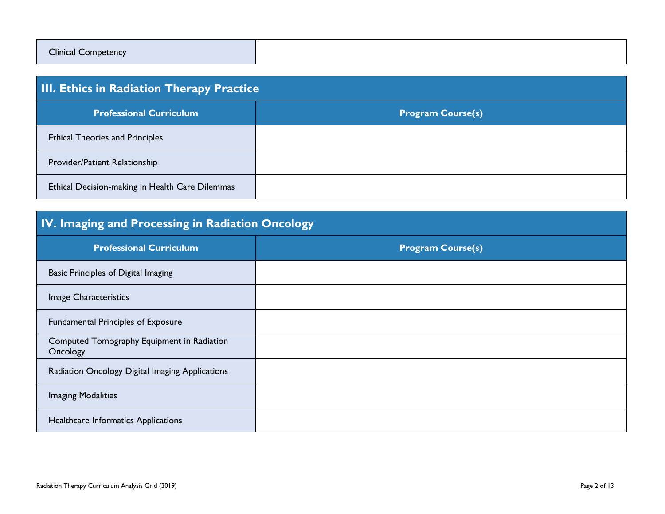| <b>Clinical Competency</b> |  |
|----------------------------|--|
|                            |  |

| <b>III. Ethics in Radiation Therapy Practice</b> |                          |  |
|--------------------------------------------------|--------------------------|--|
| <b>Professional Curriculum</b>                   | <b>Program Course(s)</b> |  |
| <b>Ethical Theories and Principles</b>           |                          |  |
| Provider/Patient Relationship                    |                          |  |
| Ethical Decision-making in Health Care Dilemmas  |                          |  |

### **IV. Imaging and Processing in Radiation Oncology**

| <b>Professional Curriculum</b>                         | <b>Program Course(s)</b> |
|--------------------------------------------------------|--------------------------|
| Basic Principles of Digital Imaging                    |                          |
| Image Characteristics                                  |                          |
| <b>Fundamental Principles of Exposure</b>              |                          |
| Computed Tomography Equipment in Radiation<br>Oncology |                          |
| Radiation Oncology Digital Imaging Applications        |                          |
| <b>Imaging Modalities</b>                              |                          |
| Healthcare Informatics Applications                    |                          |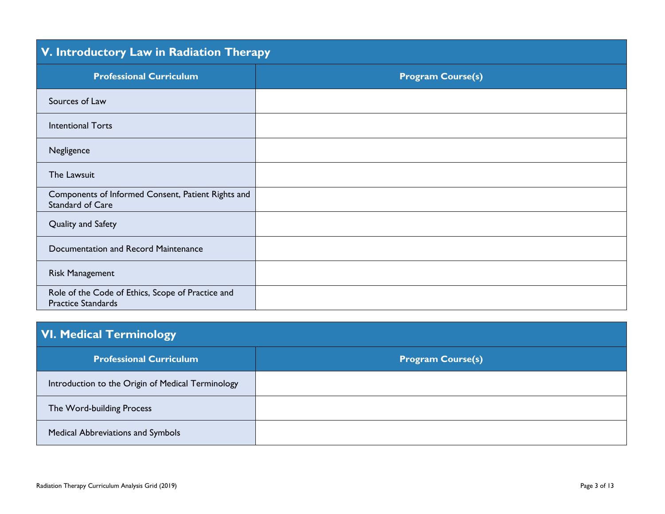| V. Introductory Law in Radiation Therapy                                       |                          |  |
|--------------------------------------------------------------------------------|--------------------------|--|
| <b>Professional Curriculum</b>                                                 | <b>Program Course(s)</b> |  |
| Sources of Law                                                                 |                          |  |
| <b>Intentional Torts</b>                                                       |                          |  |
| Negligence                                                                     |                          |  |
| The Lawsuit                                                                    |                          |  |
| Components of Informed Consent, Patient Rights and<br>Standard of Care         |                          |  |
| Quality and Safety                                                             |                          |  |
| Documentation and Record Maintenance                                           |                          |  |
| <b>Risk Management</b>                                                         |                          |  |
| Role of the Code of Ethics, Scope of Practice and<br><b>Practice Standards</b> |                          |  |

## **VI. Medical Terminology**

| <b>Professional Curriculum</b>                    | <b>Program Course(s)</b> |
|---------------------------------------------------|--------------------------|
| Introduction to the Origin of Medical Terminology |                          |
| The Word-building Process                         |                          |
| Medical Abbreviations and Symbols                 |                          |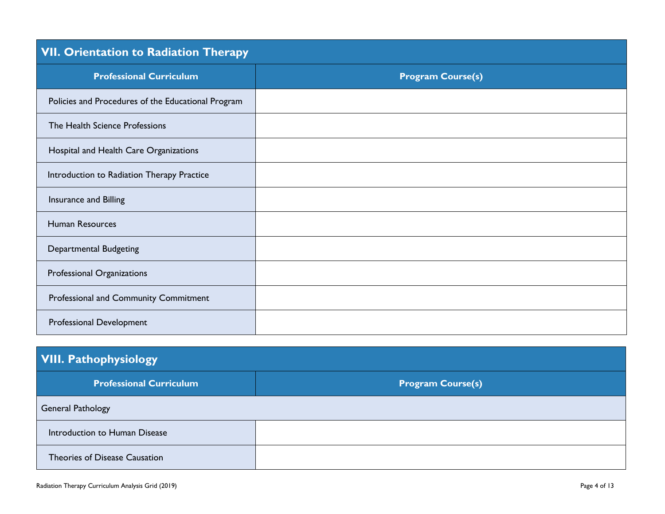| <b>VII. Orientation to Radiation Therapy</b>       |                          |  |
|----------------------------------------------------|--------------------------|--|
| <b>Professional Curriculum</b>                     | <b>Program Course(s)</b> |  |
| Policies and Procedures of the Educational Program |                          |  |
| The Health Science Professions                     |                          |  |
| Hospital and Health Care Organizations             |                          |  |
| Introduction to Radiation Therapy Practice         |                          |  |
| Insurance and Billing                              |                          |  |
| Human Resources                                    |                          |  |
| <b>Departmental Budgeting</b>                      |                          |  |
| Professional Organizations                         |                          |  |
| Professional and Community Commitment              |                          |  |
| Professional Development                           |                          |  |

| <b>VIII. Pathophysiology</b>   |                          |  |
|--------------------------------|--------------------------|--|
| <b>Professional Curriculum</b> | <b>Program Course(s)</b> |  |
| <b>General Pathology</b>       |                          |  |
| Introduction to Human Disease  |                          |  |
| Theories of Disease Causation  |                          |  |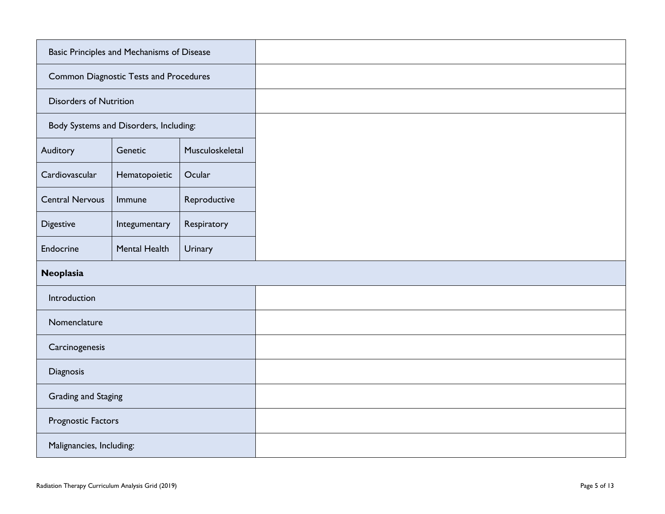| Basic Principles and Mechanisms of Disease    |                                        |                 |  |
|-----------------------------------------------|----------------------------------------|-----------------|--|
| <b>Common Diagnostic Tests and Procedures</b> |                                        |                 |  |
| <b>Disorders of Nutrition</b>                 |                                        |                 |  |
|                                               | Body Systems and Disorders, Including: |                 |  |
| Auditory                                      | Genetic                                | Musculoskeletal |  |
| Cardiovascular                                | Hematopoietic                          | Ocular          |  |
| <b>Central Nervous</b>                        | Immune                                 | Reproductive    |  |
| Digestive                                     | Integumentary                          | Respiratory     |  |
| Endocrine                                     | Mental Health                          | Urinary         |  |
| Neoplasia                                     |                                        |                 |  |
| Introduction                                  |                                        |                 |  |
| Nomenclature                                  |                                        |                 |  |
| Carcinogenesis                                |                                        |                 |  |
| Diagnosis                                     |                                        |                 |  |
| Grading and Staging                           |                                        |                 |  |
| Prognostic Factors                            |                                        |                 |  |
| Malignancies, Including:                      |                                        |                 |  |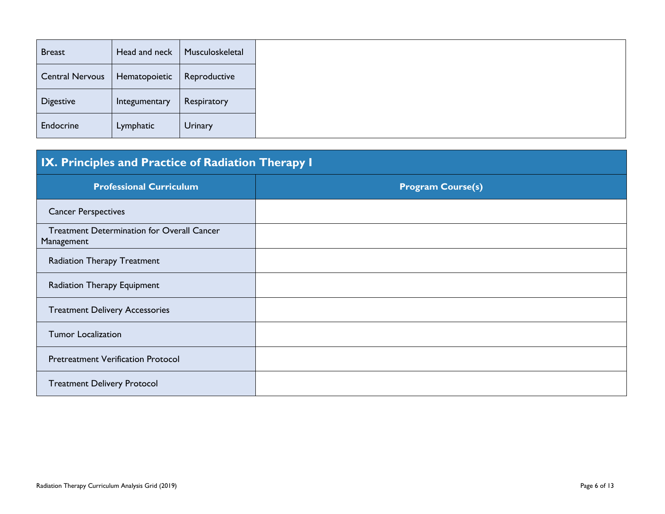| <b>Breast</b>          | Head and neck | Musculoskeletal |
|------------------------|---------------|-----------------|
| <b>Central Nervous</b> | Hematopoietic | Reproductive    |
| <b>Digestive</b>       | Integumentary | Respiratory     |
| Endocrine              | Lymphatic     | <b>Urinary</b>  |

## **IX. Principles and Practice of Radiation Therapy I**

| <b>Professional Curriculum</b>                                  | <b>Program Course(s)</b> |
|-----------------------------------------------------------------|--------------------------|
| <b>Cancer Perspectives</b>                                      |                          |
| <b>Treatment Determination for Overall Cancer</b><br>Management |                          |
| <b>Radiation Therapy Treatment</b>                              |                          |
| Radiation Therapy Equipment                                     |                          |
| <b>Treatment Delivery Accessories</b>                           |                          |
| <b>Tumor Localization</b>                                       |                          |
| <b>Pretreatment Verification Protocol</b>                       |                          |
| <b>Treatment Delivery Protocol</b>                              |                          |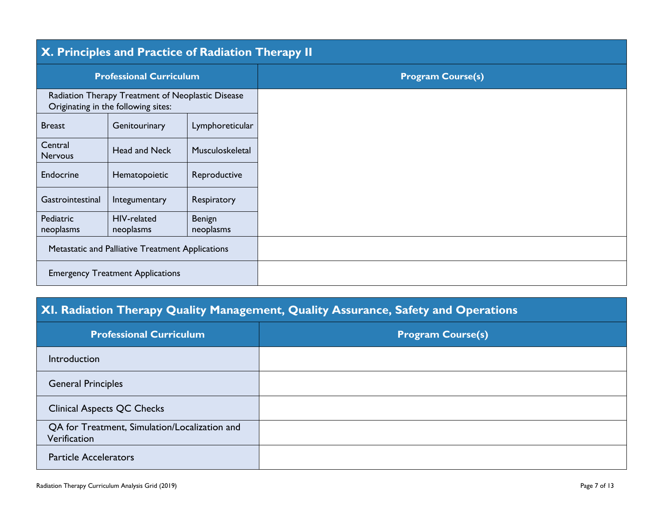| X. Principles and Practice of Radiation Therapy II                                       |                          |                     |                          |
|------------------------------------------------------------------------------------------|--------------------------|---------------------|--------------------------|
| <b>Professional Curriculum</b>                                                           |                          |                     | <b>Program Course(s)</b> |
| Radiation Therapy Treatment of Neoplastic Disease<br>Originating in the following sites: |                          |                     |                          |
| <b>Breast</b>                                                                            | Genitourinary            | Lymphoreticular     |                          |
| Central<br><b>Nervous</b>                                                                | Head and Neck            | Musculoskeletal     |                          |
| Endocrine                                                                                | Hematopoietic            | Reproductive        |                          |
| Gastrointestinal                                                                         | Integumentary            | Respiratory         |                          |
| Pediatric<br>neoplasms                                                                   | HIV-related<br>neoplasms | Benign<br>neoplasms |                          |
| Metastatic and Palliative Treatment Applications                                         |                          |                     |                          |
| <b>Emergency Treatment Applications</b>                                                  |                          |                     |                          |

## **XI. Radiation Therapy Quality Management, Quality Assurance, Safety and Operations**

| <b>Professional Curriculum</b>                                | <b>Program Course(s)</b> |
|---------------------------------------------------------------|--------------------------|
| Introduction                                                  |                          |
| <b>General Principles</b>                                     |                          |
| <b>Clinical Aspects QC Checks</b>                             |                          |
| QA for Treatment, Simulation/Localization and<br>Verification |                          |
| <b>Particle Accelerators</b>                                  |                          |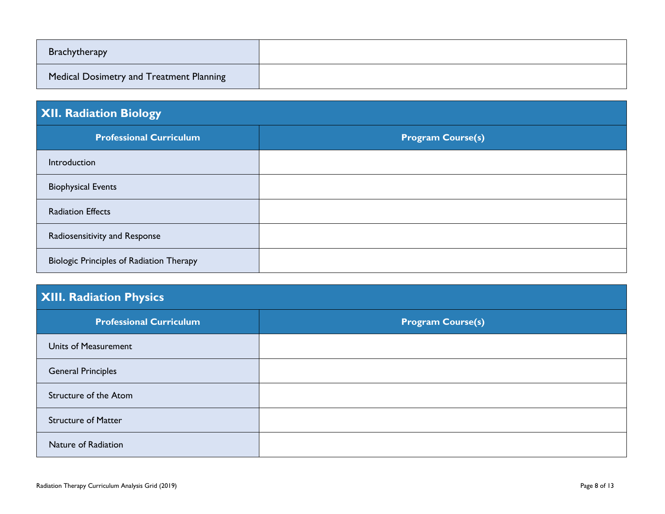| <b>Brachytherapy</b>                     |  |
|------------------------------------------|--|
| Medical Dosimetry and Treatment Planning |  |

### **XII. Radiation Biology**

| <b>Professional Curriculum</b>                  | <b>Program Course(s)</b> |
|-------------------------------------------------|--------------------------|
| Introduction                                    |                          |
| <b>Biophysical Events</b>                       |                          |
| <b>Radiation Effects</b>                        |                          |
| Radiosensitivity and Response                   |                          |
| <b>Biologic Principles of Radiation Therapy</b> |                          |

## **XIII. Radiation Physics**

| <b>Professional Curriculum</b> | <b>Program Course(s)</b> |
|--------------------------------|--------------------------|
| Units of Measurement           |                          |
| <b>General Principles</b>      |                          |
| Structure of the Atom          |                          |
| <b>Structure of Matter</b>     |                          |
| Nature of Radiation            |                          |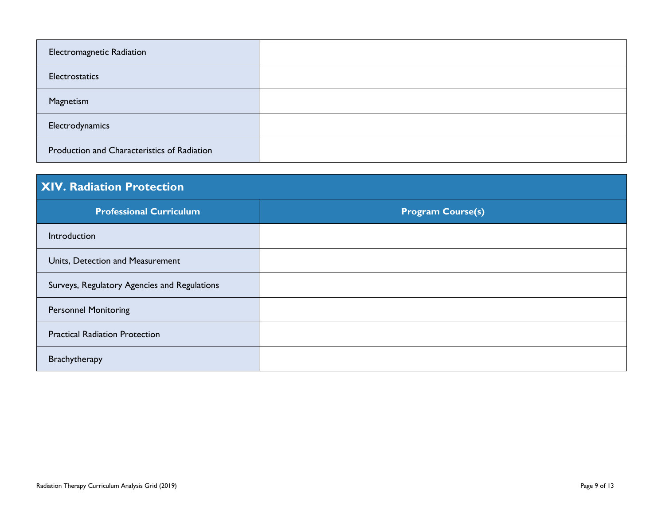| Electromagnetic Radiation                   |  |
|---------------------------------------------|--|
| Electrostatics                              |  |
| Magnetism                                   |  |
| Electrodynamics                             |  |
| Production and Characteristics of Radiation |  |

| <b>XIV. Radiation Protection</b>             |                          |  |
|----------------------------------------------|--------------------------|--|
| <b>Professional Curriculum</b>               | <b>Program Course(s)</b> |  |
| Introduction                                 |                          |  |
| Units, Detection and Measurement             |                          |  |
| Surveys, Regulatory Agencies and Regulations |                          |  |
| <b>Personnel Monitoring</b>                  |                          |  |
| <b>Practical Radiation Protection</b>        |                          |  |
| Brachytherapy                                |                          |  |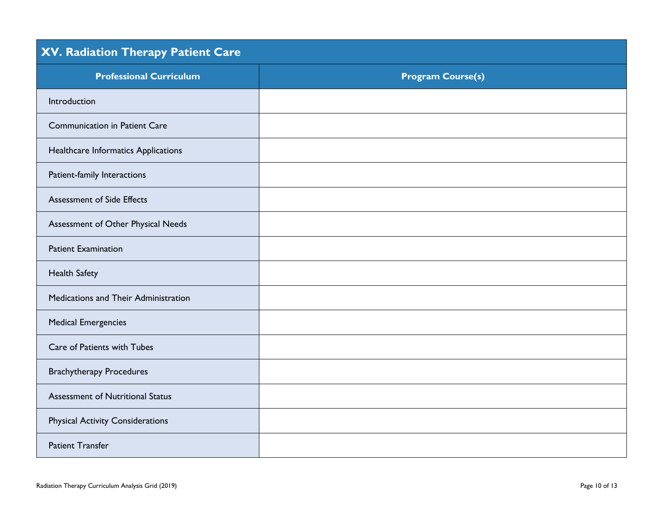| XV. Radiation Therapy Patient Care      |                          |  |
|-----------------------------------------|--------------------------|--|
| <b>Professional Curriculum</b>          | <b>Program Course(s)</b> |  |
| Introduction                            |                          |  |
| <b>Communication in Patient Care</b>    |                          |  |
| Healthcare Informatics Applications     |                          |  |
| Patient-family Interactions             |                          |  |
| <b>Assessment of Side Effects</b>       |                          |  |
| Assessment of Other Physical Needs      |                          |  |
| <b>Patient Examination</b>              |                          |  |
| <b>Health Safety</b>                    |                          |  |
| Medications and Their Administration    |                          |  |
| <b>Medical Emergencies</b>              |                          |  |
| Care of Patients with Tubes             |                          |  |
| <b>Brachytherapy Procedures</b>         |                          |  |
| <b>Assessment of Nutritional Status</b> |                          |  |
| <b>Physical Activity Considerations</b> |                          |  |
| <b>Patient Transfer</b>                 |                          |  |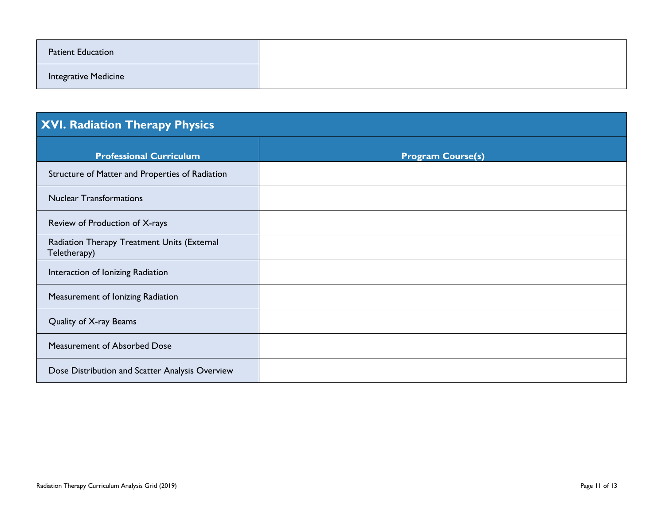| <b>Patient Education</b> |  |
|--------------------------|--|
| Integrative Medicine     |  |

# **XVI. Radiation Therapy Physics**

| <b>Professional Curriculum</b>                              | <b>Program Course(s)</b> |
|-------------------------------------------------------------|--------------------------|
| Structure of Matter and Properties of Radiation             |                          |
| <b>Nuclear Transformations</b>                              |                          |
| Review of Production of X-rays                              |                          |
| Radiation Therapy Treatment Units (External<br>Teletherapy) |                          |
| Interaction of Ionizing Radiation                           |                          |
| Measurement of Ionizing Radiation                           |                          |
| Quality of X-ray Beams                                      |                          |
| Measurement of Absorbed Dose                                |                          |
| Dose Distribution and Scatter Analysis Overview             |                          |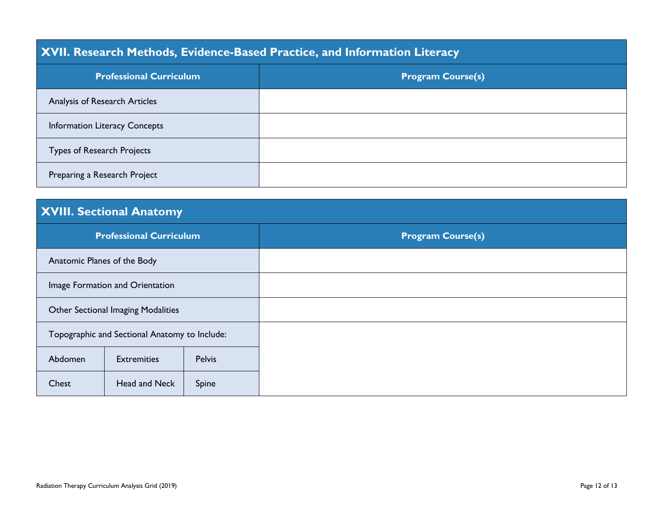### **XVII. Research Methods, Evidence-Based Practice, and Information Literacy**

| <b>Professional Curriculum</b>       | <b>Program Course(s)</b> |
|--------------------------------------|--------------------------|
| Analysis of Research Articles        |                          |
| <b>Information Literacy Concepts</b> |                          |
| <b>Types of Research Projects</b>    |                          |
| Preparing a Research Project         |                          |

## **XVIII. Sectional Anatomy**

| <b>Professional Curriculum</b>                |                    |               | <b>Program Course(s)</b> |
|-----------------------------------------------|--------------------|---------------|--------------------------|
| Anatomic Planes of the Body                   |                    |               |                          |
| Image Formation and Orientation               |                    |               |                          |
| Other Sectional Imaging Modalities            |                    |               |                          |
| Topographic and Sectional Anatomy to Include: |                    |               |                          |
| Abdomen                                       | <b>Extremities</b> | <b>Pelvis</b> |                          |
| Chest                                         | Head and Neck      | Spine         |                          |